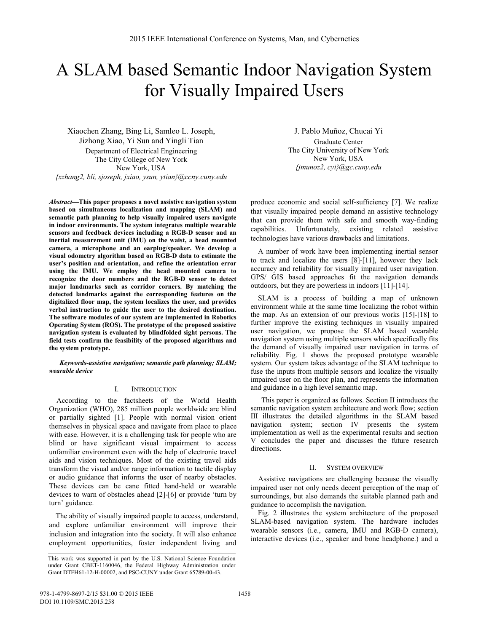# A SLAM based Semantic Indoor Navigation System for Visually Impaired Users

Xiaochen Zhang, Bing Li, Samleo L. Joseph, Jizhong Xiao, Yi Sun and Yingli Tian Department of Electrical Engineering The City College of New York New York, USA *{xzhang2, bli, sjoseph, jxiao, ysun, ytian}@ccny.cuny.edu*

*Abstract***—This paper proposes a novel assistive navigation system based on simultaneous localization and mapping (SLAM) and semantic path planning to help visually impaired users navigate in indoor environments. The system integrates multiple wearable sensors and feedback devices including a RGB-D sensor and an inertial measurement unit (IMU) on the waist, a head mounted camera, a microphone and an earplug/speaker. We develop a visual odometry algorithm based on RGB-D data to estimate the user's position and orientation, and refine the orientation error using the IMU. We employ the head mounted camera to recognize the door numbers and the RGB-D sensor to detect major landmarks such as corridor corners. By matching the detected landmarks against the corresponding features on the digitalized floor map, the system localizes the user, and provides verbal instruction to guide the user to the desired destination. The software modules of our system are implemented in Robotics Operating System (ROS). The prototype of the proposed assistive navigation system is evaluated by blindfolded sight persons. The field tests confirm the feasibility of the proposed algorithms and the system prototype.**

*Keywords-assistive navigation; semantic path planning; SLAM; wearable device*

## I. INTRODUCTION

According to the factsheets of the World Health Organization (WHO), 285 million people worldwide are blind or partially sighted [1]. People with normal vision orient themselves in physical space and navigate from place to place with ease. However, it is a challenging task for people who are blind or have significant visual impairment to access unfamiliar environment even with the help of electronic travel aids and vision techniques. Most of the existing travel aids transform the visual and/or range information to tactile display or audio guidance that informs the user of nearby obstacles. These devices can be cane fitted hand-held or wearable devices to warn of obstacles ahead [2]-[6] or provide 'turn by turn' guidance.

The ability of visually impaired people to access, understand, and explore unfamiliar environment will improve their inclusion and integration into the society. It will also enhance employment opportunities, foster independent living and

J. Pablo Muñoz, Chucai Yi Graduate Center The City University of New York New York, USA *{jmunoz2, cyi}@gc.cuny.edu*

produce economic and social self-sufficiency [7]. We realize that visually impaired people demand an assistive technology that can provide them with safe and smooth way-finding capabilities. Unfortunately, existing related assistive technologies have various drawbacks and limitations.

A number of work have been implementing inertial sensor to track and localize the users [8]-[11], however they lack accuracy and reliability for visually impaired user navigation. GPS/ GIS based approaches fit the navigation demands outdoors, but they are powerless in indoors [11]-[14].

SLAM is a process of building a map of unknown environment while at the same time localizing the robot within the map. As an extension of our previous works [15]-[18] to further improve the existing techniques in visually impaired user navigation, we propose the SLAM based wearable navigation system using multiple sensors which specifically fits the demand of visually impaired user navigation in terms of reliability. Fig. 1 shows the proposed prototype wearable system. Our system takes advantage of the SLAM technique to fuse the inputs from multiple sensors and localize the visually impaired user on the floor plan, and represents the information and guidance in a high level semantic map.

This paper is organized as follows. Section II introduces the semantic navigation system architecture and work flow; section III illustrates the detailed algorithms in the SLAM based navigation system; section IV presents the system implementation as well as the experimental results and section V concludes the paper and discusses the future research directions.

#### II. SYSTEM OVERVIEW

Assistive navigations are challenging because the visually impaired user not only needs decent perception of the map of surroundings, but also demands the suitable planned path and guidance to accomplish the navigation.

Fig. 2 illustrates the system architecture of the proposed SLAM-based navigation system. The hardware includes wearable sensors (i.e., camera, IMU and RGB-D camera), interactive devices (i.e., speaker and bone headphone.) and a

This work was supported in part by the U.S. National Science Foundation under Grant CBET-1160046, the Federal Highway Administration under Grant DTFH61-12-H-00002, and PSC-CUNY under Grant 65789-00-43.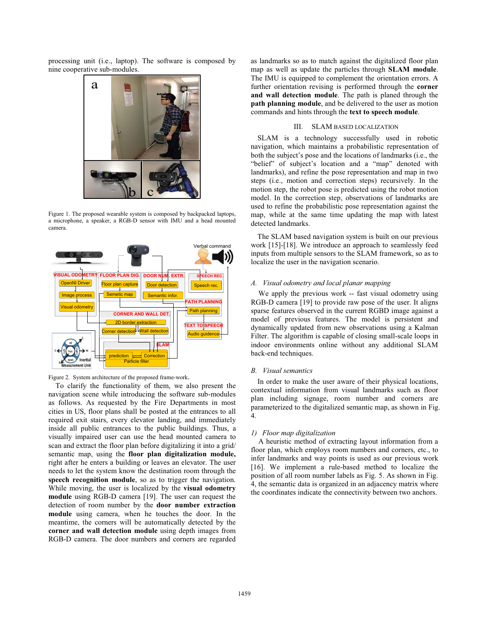processing unit (i.e., laptop). The software is composed by nine cooperative sub-modules.



Figure 1. The proposed wearable system is composed by backpacked laptops, a microphone, a speaker, a RGB-D sensor with IMU and a head mounted camera.



Figure 2. System architecture of the proposed frame-work.

To clarify the functionality of them, we also present the navigation scene while introducing the software sub-modules as follows. As requested by the Fire Departments in most cities in US, floor plans shall be posted at the entrances to all required exit stairs, every elevator landing, and immediately inside all public entrances to the public buildings. Thus, a visually impaired user can use the head mounted camera to scan and extract the floor plan before digitalizing it into a grid/ semantic map, using the **floor plan digitalization module,** right after he enters a building or leaves an elevator. The user needs to let the system know the destination room through the **speech recognition module**, so as to trigger the navigation. While moving, the user is localized by the **visual odometry module** using RGB-D camera [19]. The user can request the detection of room number by the **door number extraction module** using camera, when he touches the door. In the meantime, the corners will be automatically detected by the **corner and wall detection module** using depth images from RGB-D camera. The door numbers and corners are regarded as landmarks so as to match against the digitalized floor plan map as well as update the particles through **SLAM module**. The IMU is equipped to complement the orientation errors. A further orientation revising is performed through the **corner and wall detection module**. The path is planed through the **path planning module**, and be delivered to the user as motion commands and hints through the **text to speech module**.

# III. SLAM BASED LOCALIZATION

SLAM is a technology successfully used in robotic navigation, which maintains a probabilistic representation of both the subject's pose and the locations of landmarks (i.e., the "belief" of subject's location and a "map" denoted with landmarks), and refine the pose representation and map in two steps (i.e., motion and correction steps) recursively. In the motion step, the robot pose is predicted using the robot motion model. In the correction step, observations of landmarks are used to refine the probabilistic pose representation against the map, while at the same time updating the map with latest detected landmarks.

The SLAM based navigation system is built on our previous work [15]-[18]. We introduce an approach to seamlessly feed inputs from multiple sensors to the SLAM framework, so as to localize the user in the navigation scenario.

#### *A. Visual odometry and local planar mapping*

We apply the previous work -- fast visual odometry using RGB-D camera [19] to provide raw pose of the user. It aligns sparse features observed in the current RGBD image against a model of previous features. The model is persistent and dynamically updated from new observations using a Kalman Filter. The algorithm is capable of closing small-scale loops in indoor environments online without any additional SLAM back-end techniques.

## *B. Visual semantics*

In order to make the user aware of their physical locations, contextual information from visual landmarks such as floor plan including signage, room number and corners are parameterized to the digitalized semantic map, as shown in Fig. 4.

#### *1) Floor map digitalization*

A heuristic method of extracting layout information from a floor plan, which employs room numbers and corners, etc., to infer landmarks and way points is used as our previous work [16]. We implement a rule-based method to localize the position of all room number labels as Fig. 5. As shown in Fig. 4, the semantic data is organized in an adjacency matrix where the coordinates indicate the connectivity between two anchors.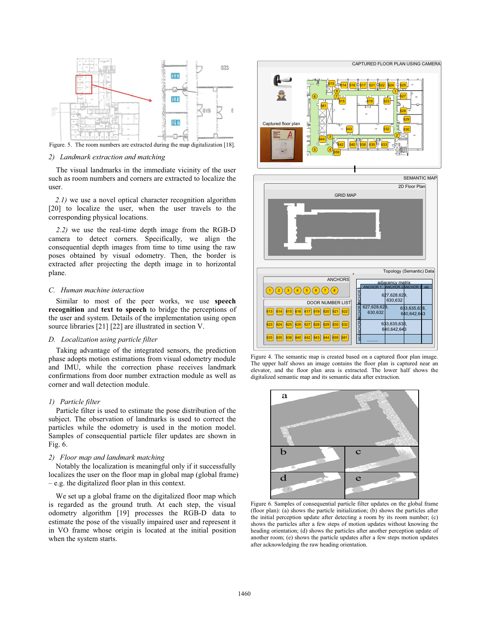

Figure. 5. The room numbers are extracted during the map digitalization [18].

# *2) Landmark extraction and matching*

The visual landmarks in the immediate vicinity of the user such as room numbers and corners are extracted to localize the user.

*2.1)* we use a novel optical character recognition algorithm [20] to localize the user, when the user travels to the corresponding physical locations.

*2.2)* we use the real-time depth image from the RGB-D camera to detect corners. Specifically, we align the consequential depth images from time to time using the raw poses obtained by visual odometry. Then, the border is extracted after projecting the depth image in to horizontal plane.

# *C. Human machine interaction*

Similar to most of the peer works, we use **speech recognition** and **text to speech** to bridge the perceptions of the user and system. Details of the implementation using open source libraries [21] [22] are illustrated in section V.

## *D. Localization using particle filter*

Taking advantage of the integrated sensors, the prediction phase adopts motion estimations from visual odometry module and IMU, while the correction phase receives landmark confirmations from door number extraction module as well as corner and wall detection module.

#### *1) Particle filter*

Particle filter is used to estimate the pose distribution of the subject. The observation of landmarks is used to correct the particles while the odometry is used in the motion model. Samples of consequential particle filer updates are shown in Fig. 6.

## *2) Floor map and landmark matching*

Notably the localization is meaningful only if it successfully localizes the user on the floor map in global map (global frame) – e.g. the digitalized floor plan in this context.

We set up a global frame on the digitalized floor map which is regarded as the ground truth. At each step, the visual odometry algorithm [19] processes the RGB-D data to estimate the pose of the visually impaired user and represent it in VO frame whose origin is located at the initial position when the system starts.





Figure 4. The semantic map is created based on a captured floor plan image. The upper half shows an image contains the floor plan is captured near an elevator, and the floor plan area is extracted. The lower half shows the digitalized semantic map and its semantic data after extraction.



Figure 6. Samples of consequential particle filter updates on the global frame (floor plan): (a) shows the particle initialization; (b) shows the particles after the initial perception update after detecting a room by its room number; (c) shows the particles after a few steps of motion updates without knowing the heading orientation; (d) shows the particles after another perception update of another room; (e) shows the particle updates after a few steps motion updates after acknowledging the raw heading orientation.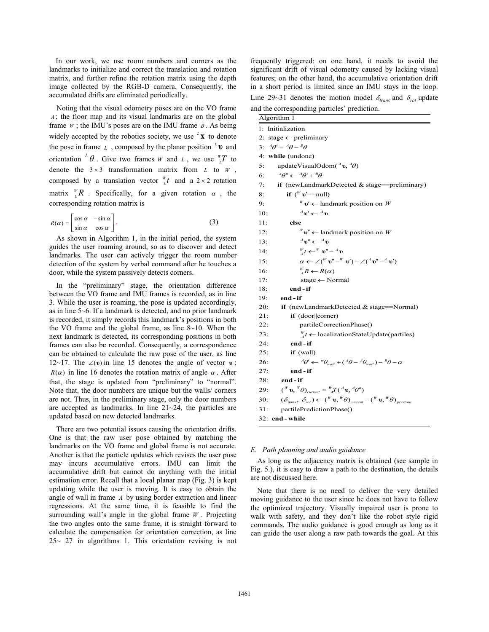In our work, we use room numbers and corners as the landmarks to initialize and correct the translation and rotation matrix, and further refine the rotation matrix using the depth image collected by the RGB-D camera. Consequently, the accumulated drifts are eliminated periodically.

Noting that the visual odometry poses are on the VO frame *A* ; the floor map and its visual landmarks are on the global frame *W* ; the IMU's poses are on the IMU frame *B* . As being widely accepted by the robotics society, we use  ${}^{L}$ **x** to denote the pose in frame  $L$ , composed by the planar position  $L$ **v** and orientation  ${}^{L}\theta$ . Give two frames *W* and *L*, we use  ${}^{w}_{L}T$  to denote the  $3 \times 3$  transformation matrix from *L* to *W*, composed by a translation vector  $\int_{0}^{w} t \text{ and a } 2 \times 2 \text{ rotation}$ matrix  $\binom{w}{L}R$ . Specifically, for a given rotation  $\alpha$ , the corresponding rotation matrix is

$$
R(\alpha) = \begin{bmatrix} \cos \alpha & -\sin \alpha \\ \sin \alpha & \cos \alpha \end{bmatrix}.
$$
 (3)

As shown in Algorithm 1, in the initial period, the system guides the user roaming around, so as to discover and detect landmarks. The user can actively trigger the room number detection of the system by verbal command after he touches a door, while the system passively detects corners.

In the "preliminary" stage, the orientation difference between the VO frame and IMU frames is recorded, as in line 3. While the user is roaming, the pose is updated accordingly, as in line 5~6. If a landmark is detected, and no prior landmark is recorded, it simply records this landmark's positions in both the VO frame and the global frame, as line 8~10. When the next landmark is detected, its corresponding positions in both frames can also be recorded. Consequently, a correspondence can be obtained to calculate the raw pose of the user, as line 12~17. The  $\angle$ (**v**) in line 15 denotes the angle of vector **v**;  $R(\alpha)$  in line 16 denotes the rotation matrix of angle  $\alpha$ . After that, the stage is updated from "preliminary" to "normal". Note that, the door numbers are unique but the walls/ corners are not. Thus, in the preliminary stage, only the door numbers are accepted as landmarks. In line 21~24, the particles are updated based on new detected landmarks.

There are two potential issues causing the orientation drifts. One is that the raw user pose obtained by matching the landmarks on the VO frame and global frame is not accurate. Another is that the particle updates which revises the user pose may incurs accumulative errors. IMU can limit the accumulative drift but cannot do anything with the initial estimation error. Recall that a local planar map (Fig. 3) is kept updating while the user is moving. It is easy to obtain the angle of wall in frame *A* by using border extraction and linear regressions. At the same time, it is feasible to find the surrounding wall's angle in the global frame *W* . Projecting the two angles onto the same frame, it is straight forward to calculate the compensation for orientation correction, as line  $25~\sim~27$  in algorithms 1. This orientation revising is not

frequently triggered: on one hand, it needs to avoid the significant drift of visual odometry caused by lacking visual features; on the other hand, the accumulative orientation drift in a short period is limited since an IMU stays in the loop. Line 29~31 denotes the motion model  $\delta_{trans}$  and  $\delta_{rot}$  update

and the corresponding particles' prediction.

| nd the corresponding particles prediction.<br>Algorithm 1                                                                                                       |
|-----------------------------------------------------------------------------------------------------------------------------------------------------------------|
| 1: Initialization                                                                                                                                               |
| 2:<br>stage $\leftarrow$ preliminary                                                                                                                            |
| 3: ${}^A\theta' = {}^A\theta - {}^B\theta$                                                                                                                      |
| 4: while (undone)                                                                                                                                               |
| updateVisualOdom( ${}^A$ <b>v</b> , ${}^A\theta$ )<br>5:                                                                                                        |
| ${}^A\theta'' \leftarrow {}^A\theta' + {}^B\theta$<br>6:                                                                                                        |
| if (newLandmarkDetected $&$ stage==preliminary)<br>7:                                                                                                           |
| if $\binom{W}{k}$ v'==null)<br>8:                                                                                                                               |
| $W^W$ <b>v</b> ' $\leftarrow$ landmark position on W<br>9:                                                                                                      |
| $A'$ $\mathbf{p}' \leftarrow A' \mathbf{p}$<br>10:                                                                                                              |
| 11:<br>else                                                                                                                                                     |
| $W^W$ <b>v</b> " $\leftarrow$ landmark position on W<br>12:                                                                                                     |
| $\mathbf{u}^A \mathbf{v}^B \leftarrow \mathbf{u}^A \mathbf{v}$<br>13:                                                                                           |
| $\bigcup_{i=1}^W t_i \leftarrow W \mathbf{v}'' - {}^A \mathbf{v}$<br>14.                                                                                        |
| $\alpha \leftarrow \angle(^{W} \mathbf{v}'' - ^{W} \mathbf{v}') - \angle(^{A} \mathbf{v}'' - ^{A} \mathbf{v}')$<br>15:                                          |
| ${}^W_A R \leftarrow R(\alpha)$<br>16:                                                                                                                          |
| stage $\leftarrow$ Normal<br>17:                                                                                                                                |
| 18:<br>end - if                                                                                                                                                 |
| 19:<br>end - if                                                                                                                                                 |
| if (newLandmarkDetected $&$ stage==Normal)<br>20:                                                                                                               |
| 21:<br>if (door  corner)                                                                                                                                        |
| partileCorrectionPhase()<br>22:                                                                                                                                 |
| $_{i}^{W}t \leftarrow$ localizationStateUpdate(partiles)<br>23:                                                                                                 |
| 24:<br>end - if                                                                                                                                                 |
| 25:<br>$if$ (wall)                                                                                                                                              |
| ${}^A\theta' \leftarrow {}^w\theta_{wall} + ({}^A\theta - {}^A\theta_{wall}) - {}^B\theta - \alpha$<br>26:                                                      |
| 27:<br>end - if                                                                                                                                                 |
| 28:<br>end - if                                                                                                                                                 |
| $\left({}^{W}\mathbf{v},{}^{W}\theta\right)_{current} = {}^{W}_{A}T({}^{A}\mathbf{v},{}^{A}\theta'')$<br>29:                                                    |
| $(\delta_{\text{trans}}, \delta_{\text{rot}}) \leftarrow ({}^W\mathbf{v}, {}^W\theta)_{\text{current}} - ({}^W\mathbf{v}, {}^W\theta)_{\text{previous}}$<br>30: |
| 31:<br>partilePredictionPhase()                                                                                                                                 |
| 32: end-while                                                                                                                                                   |

## *E. Path planning and audio guidance*

As long as the adjacency matrix is obtained (see sample in Fig. 5.), it is easy to draw a path to the destination, the details are not discussed here.

Note that there is no need to deliver the very detailed moving guidance to the user since he does not have to follow the optimized trajectory. Visually impaired user is prone to walk with safety, and they don't like the robot style rigid commands. The audio guidance is good enough as long as it can guide the user along a raw path towards the goal. At this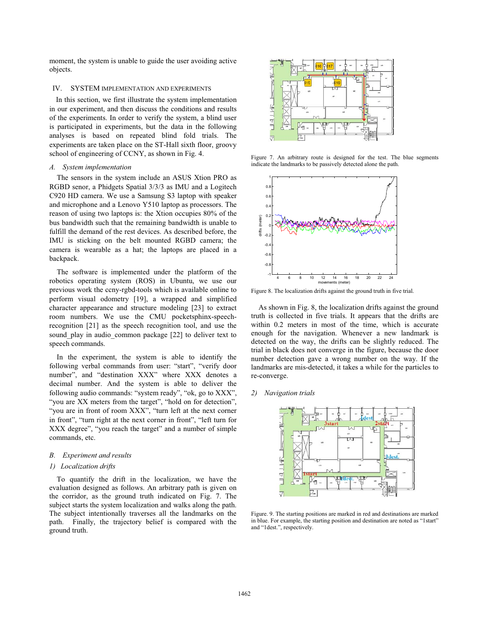moment, the system is unable to guide the user avoiding active objects.

## IV. SYSTEM IMPLEMENTATION AND EXPERIMENTS

In this section, we first illustrate the system implementation in our experiment, and then discuss the conditions and results of the experiments. In order to verify the system, a blind user is participated in experiments, but the data in the following analyses is based on repeated blind fold trials. The experiments are taken place on the ST-Hall sixth floor, groovy school of engineering of CCNY, as shown in Fig. 4.

## *A. System implementation*

The sensors in the system include an ASUS Xtion PRO as RGBD senor, a Phidgets Spatial 3/3/3 as IMU and a Logitech C920 HD camera. We use a Samsung S3 laptop with speaker and microphone and a Lenovo Y510 laptop as processors. The reason of using two laptops is: the Xtion occupies 80% of the bus bandwidth such that the remaining bandwidth is unable to fulfill the demand of the rest devices. As described before, the IMU is sticking on the belt mounted RGBD camera; the camera is wearable as a hat; the laptops are placed in a backpack.

The software is implemented under the platform of the robotics operating system (ROS) in Ubuntu, we use our previous work the ccny-rgbd-tools which is available online to perform visual odometry [19], a wrapped and simplified character appearance and structure modeling [23] to extract room numbers. We use the CMU pocketsphinx-speechrecognition [21] as the speech recognition tool, and use the sound play in audio common package [22] to deliver text to speech commands.

In the experiment, the system is able to identify the following verbal commands from user: "start", "verify door number", and "destination XXX" where XXX denotes a decimal number. And the system is able to deliver the following audio commands: "system ready", "ok, go to XXX", "you are XX meters from the target", "hold on for detection", "you are in front of room XXX", "turn left at the next corner in front", "turn right at the next corner in front", "left turn for XXX degree", "you reach the target" and a number of simple commands, etc.

# *B. Experiment and results*

# *1) Localization drifts*

To quantify the drift in the localization, we have the evaluation designed as follows. An arbitrary path is given on the corridor, as the ground truth indicated on Fig. 7. The subject starts the system localization and walks along the path. The subject intentionally traverses all the landmarks on the path. Finally, the trajectory belief is compared with the ground truth.



Figure 7. An arbitrary route is designed for the test. The blue segments indicate the landmarks to be passively detected alone the path.



Figure 8. The localization drifts against the ground truth in five trial.

As shown in Fig. 8, the localization drifts against the ground truth is collected in five trials. It appears that the drifts are within 0.2 meters in most of the time, which is accurate enough for the navigation. Whenever a new landmark is detected on the way, the drifts can be slightly reduced. The trial in black does not converge in the figure, because the door number detection gave a wrong number on the way. If the landmarks are mis-detected, it takes a while for the particles to re-converge.

*2) Navigation trials*



Figure. 9. The starting positions are marked in red and destinations are marked in blue. For example, the starting position and destination are noted as "1start" and "1dest.", respectively.